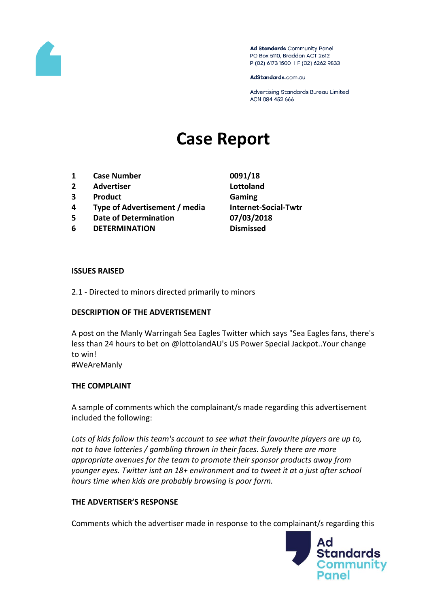

Ad Standards Community Panel PO Box 5110, Braddon ACT 2612 P (02) 6173 1500 | F (02) 6262 9833

AdStandards.com.au

Advertising Standards Bureau Limited ACN 084 452 666

# **Case Report**

- **1 Case Number 0091/18**
- **2 Advertiser Lottoland**
- **3 Product Gaming**
- **4 Type of Advertisement / media Internet-Social-Twtr**
- **5 Date of Determination 07/03/2018**
- **6 DETERMINATION Dismissed**
- 

### **ISSUES RAISED**

2.1 - Directed to minors directed primarily to minors

## **DESCRIPTION OF THE ADVERTISEMENT**

A post on the Manly Warringah Sea Eagles Twitter which says "Sea Eagles fans, there's less than 24 hours to bet on @lottolandAU's US Power Special Jackpot..Your change to win! #WeAreManly

## **THE COMPLAINT**

A sample of comments which the complainant/s made regarding this advertisement included the following:

*Lots of kids follow this team's account to see what their favourite players are up to, not to have lotteries / gambling thrown in their faces. Surely there are more appropriate avenues for the team to promote their sponsor products away from younger eyes. Twitter isnt an 18+ environment and to tweet it at a just after school hours time when kids are probably browsing is poor form.*

## **THE ADVERTISER'S RESPONSE**

Comments which the advertiser made in response to the complainant/s regarding this

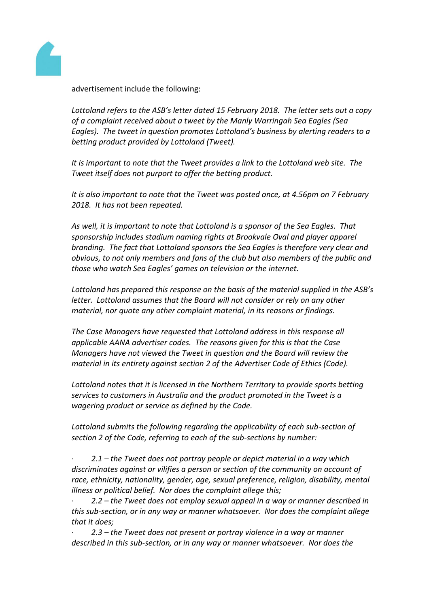

advertisement include the following:

*Lottoland refers to the ASB's letter dated 15 February 2018. The letter sets out a copy of a complaint received about a tweet by the Manly Warringah Sea Eagles (Sea Eagles). The tweet in question promotes Lottoland's business by alerting readers to a betting product provided by Lottoland (Tweet).*

*It is important to note that the Tweet provides a link to the Lottoland web site. The Tweet itself does not purport to offer the betting product.*

*It is also important to note that the Tweet was posted once, at 4.56pm on 7 February 2018. It has not been repeated.*

*As well, it is important to note that Lottoland is a sponsor of the Sea Eagles. That sponsorship includes stadium naming rights at Brookvale Oval and player apparel branding. The fact that Lottoland sponsors the Sea Eagles is therefore very clear and obvious, to not only members and fans of the club but also members of the public and those who watch Sea Eagles' games on television or the internet.*

*Lottoland has prepared this response on the basis of the material supplied in the ASB's letter. Lottoland assumes that the Board will not consider or rely on any other material, nor quote any other complaint material, in its reasons or findings.*

*The Case Managers have requested that Lottoland address in this response all applicable AANA advertiser codes. The reasons given for this is that the Case Managers have not viewed the Tweet in question and the Board will review the material in its entirety against section 2 of the Advertiser Code of Ethics (Code).*

*Lottoland notes that it is licensed in the Northern Territory to provide sports betting services to customers in Australia and the product promoted in the Tweet is a wagering product or service as defined by the Code.*

*Lottoland submits the following regarding the applicability of each sub-section of section 2 of the Code, referring to each of the sub-sections by number:*

*· 2.1 – the Tweet does not portray people or depict material in a way which discriminates against or vilifies a person or section of the community on account of race, ethnicity, nationality, gender, age, sexual preference, religion, disability, mental illness or political belief. Nor does the complaint allege this;*

*· 2.2 – the Tweet does not employ sexual appeal in a way or manner described in this sub-section, or in any way or manner whatsoever. Nor does the complaint allege that it does;*

2.3 – the Tweet does not present or portray violence in a way or manner *described in this sub-section, or in any way or manner whatsoever. Nor does the*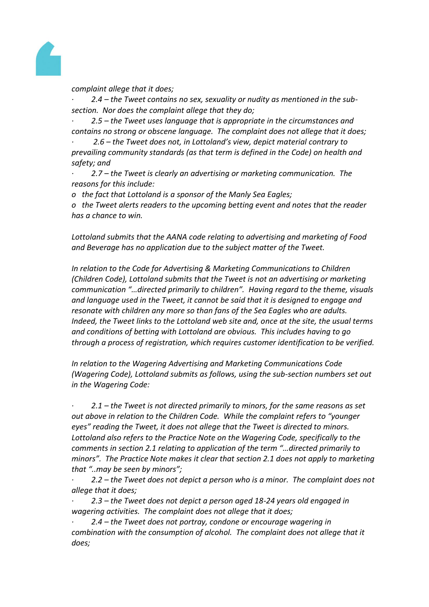

*complaint allege that it does;*

*· 2.4 – the Tweet contains no sex, sexuality or nudity as mentioned in the subsection. Nor does the complaint allege that they do;*

*· 2.5 – the Tweet uses language that is appropriate in the circumstances and contains no strong or obscene language. The complaint does not allege that it does;*

*· 2.6 – the Tweet does not, in Lottoland's view, depict material contrary to prevailing community standards (as that term is defined in the Code) on health and safety; and*

*· 2.7 – the Tweet is clearly an advertising or marketing communication. The reasons for this include:*

*o the fact that Lottoland is a sponsor of the Manly Sea Eagles;*

*o the Tweet alerts readers to the upcoming betting event and notes that the reader has a chance to win.*

*Lottoland submits that the AANA code relating to advertising and marketing of Food and Beverage has no application due to the subject matter of the Tweet.*

*In relation to the Code for Advertising & Marketing Communications to Children (Children Code), Lottoland submits that the Tweet is not an advertising or marketing communication "…directed primarily to children". Having regard to the theme, visuals and language used in the Tweet, it cannot be said that it is designed to engage and resonate with children any more so than fans of the Sea Eagles who are adults. Indeed, the Tweet links to the Lottoland web site and, once at the site, the usual terms and conditions of betting with Lottoland are obvious. This includes having to go through a process of registration, which requires customer identification to be verified.*

*In relation to the Wagering Advertising and Marketing Communications Code (Wagering Code), Lottoland submits as follows, using the sub-section numbers set out in the Wagering Code:*

*· 2.1 – the Tweet is not directed primarily to minors, for the same reasons as set out above in relation to the Children Code. While the complaint refers to "younger eyes" reading the Tweet, it does not allege that the Tweet is directed to minors. Lottoland also refers to the Practice Note on the Wagering Code, specifically to the comments in section 2.1 relating to application of the term "…directed primarily to minors". The Practice Note makes it clear that section 2.1 does not apply to marketing that "..may be seen by minors";*

*· 2.2 – the Tweet does not depict a person who is a minor. The complaint does not allege that it does;*

*· 2.3 – the Tweet does not depict a person aged 18-24 years old engaged in wagering activities. The complaint does not allege that it does;*

*· 2.4 – the Tweet does not portray, condone or encourage wagering in combination with the consumption of alcohol. The complaint does not allege that it does;*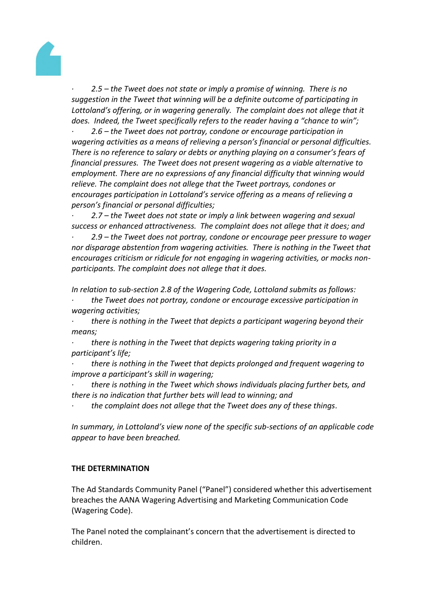

*· 2.5 – the Tweet does not state or imply a promise of winning. There is no suggestion in the Tweet that winning will be a definite outcome of participating in*  Lottoland's offering, or in wagering generally. The complaint does not allege that it *does. Indeed, the Tweet specifically refers to the reader having a "chance to win";*

*· 2.6 – the Tweet does not portray, condone or encourage participation in wagering activities as a means of relieving a person's financial or personal difficulties. There is no reference to salary or debts or anything playing on a consumer's fears of financial pressures. The Tweet does not present wagering as a viable alternative to employment. There are no expressions of any financial difficulty that winning would relieve. The complaint does not allege that the Tweet portrays, condones or encourages participation in Lottoland's service offering as a means of relieving a person's financial or personal difficulties;*

*· 2.7 – the Tweet does not state or imply a link between wagering and sexual success or enhanced attractiveness. The complaint does not allege that it does; and*

*· 2.9 – the Tweet does not portray, condone or encourage peer pressure to wager nor disparage abstention from wagering activities. There is nothing in the Tweet that encourages criticism or ridicule for not engaging in wagering activities, or mocks nonparticipants. The complaint does not allege that it does.*

*In relation to sub-section 2.8 of the Wagering Code, Lottoland submits as follows:*

*· the Tweet does not portray, condone or encourage excessive participation in wagering activities;*

*· there is nothing in the Tweet that depicts a participant wagering beyond their means;*

*· there is nothing in the Tweet that depicts wagering taking priority in a participant's life;*

*· there is nothing in the Tweet that depicts prolonged and frequent wagering to improve a participant's skill in wagering;*

*· there is nothing in the Tweet which shows individuals placing further bets, and there is no indication that further bets will lead to winning; and*

*· the complaint does not allege that the Tweet does any of these things.*

*In summary, in Lottoland's view none of the specific sub-sections of an applicable code appear to have been breached.*

## **THE DETERMINATION**

The Ad Standards Community Panel ("Panel") considered whether this advertisement breaches the AANA Wagering Advertising and Marketing Communication Code (Wagering Code).

The Panel noted the complainant's concern that the advertisement is directed to children.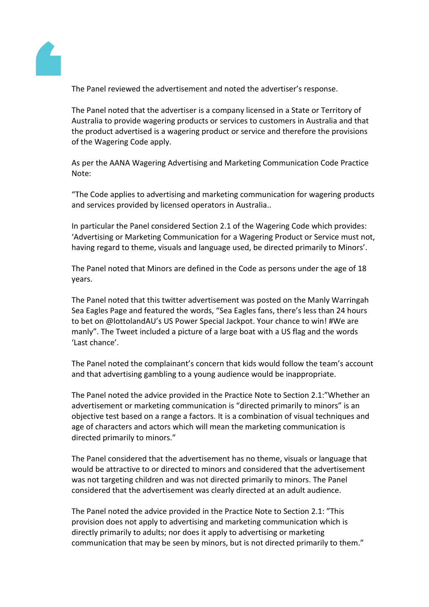

The Panel reviewed the advertisement and noted the advertiser's response.

The Panel noted that the advertiser is a company licensed in a State or Territory of Australia to provide wagering products or services to customers in Australia and that the product advertised is a wagering product or service and therefore the provisions of the Wagering Code apply.

As per the AANA Wagering Advertising and Marketing Communication Code Practice Note:

"The Code applies to advertising and marketing communication for wagering products and services provided by licensed operators in Australia..

In particular the Panel considered Section 2.1 of the Wagering Code which provides: 'Advertising or Marketing Communication for a Wagering Product or Service must not, having regard to theme, visuals and language used, be directed primarily to Minors'.

The Panel noted that Minors are defined in the Code as persons under the age of 18 years.

The Panel noted that this twitter advertisement was posted on the Manly Warringah Sea Eagles Page and featured the words, "Sea Eagles fans, there's less than 24 hours to bet on @lottolandAU's US Power Special Jackpot. Your chance to win! #We are manly". The Tweet included a picture of a large boat with a US flag and the words 'Last chance'.

The Panel noted the complainant's concern that kids would follow the team's account and that advertising gambling to a young audience would be inappropriate.

The Panel noted the advice provided in the Practice Note to Section 2.1:"Whether an advertisement or marketing communication is "directed primarily to minors" is an objective test based on a range a factors. It is a combination of visual techniques and age of characters and actors which will mean the marketing communication is directed primarily to minors."

The Panel considered that the advertisement has no theme, visuals or language that would be attractive to or directed to minors and considered that the advertisement was not targeting children and was not directed primarily to minors. The Panel considered that the advertisement was clearly directed at an adult audience.

The Panel noted the advice provided in the Practice Note to Section 2.1: "This provision does not apply to advertising and marketing communication which is directly primarily to adults; nor does it apply to advertising or marketing communication that may be seen by minors, but is not directed primarily to them."